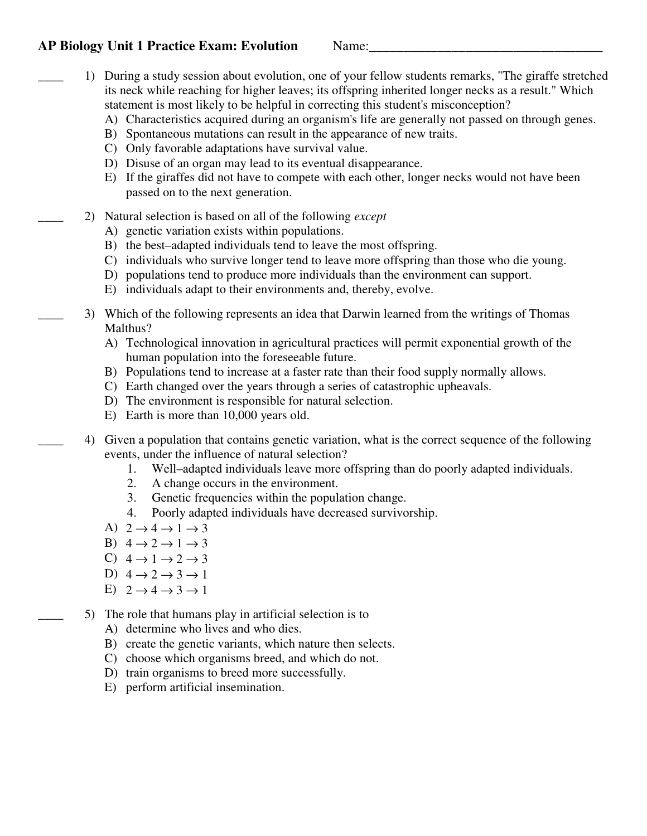## **AP Biology Unit 1 Practice Exam: Evolution Mame:**

- \_\_\_\_ 1) During a study session about evolution, one of your fellow students remarks, "The giraffe stretched its neck while reaching for higher leaves; its offspring inherited longer necks as a result." Which statement is most likely to be helpful in correcting this student's misconception?
	- A) Characteristics acquired during an organism's life are generally not passed on through genes.
	- B) Spontaneous mutations can result in the appearance of new traits.
	- C) Only favorable adaptations have survival value.
	- D) Disuse of an organ may lead to its eventual disappearance.
	- E) If the giraffes did not have to compete with each other, longer necks would not have been passed on to the next generation.
- \_\_\_\_ 2) Natural selection is based on all of the following *except* 
	- A) genetic variation exists within populations.
	- B) the best–adapted individuals tend to leave the most offspring.
	- C) individuals who survive longer tend to leave more offspring than those who die young.
	- D) populations tend to produce more individuals than the environment can support.
	- E) individuals adapt to their environments and, thereby, evolve.
	- \_\_\_\_ 3) Which of the following represents an idea that Darwin learned from the writings of Thomas Malthus?
		- A) Technological innovation in agricultural practices will permit exponential growth of the human population into the foreseeable future.
		- B) Populations tend to increase at a faster rate than their food supply normally allows.
		- C) Earth changed over the years through a series of catastrophic upheavals.
		- D) The environment is responsible for natural selection.
		- E) Earth is more than 10,000 years old.
		- \_\_\_\_ 4) Given a population that contains genetic variation, what is the correct sequence of the following events, under the influence of natural selection?
			- 1. Well–adapted individuals leave more offspring than do poorly adapted individuals.
			- 2. A change occurs in the environment.
			- 3. Genetic frequencies within the population change.
			- 4. Poorly adapted individuals have decreased survivorship.
			- A)  $2 \rightarrow 4 \rightarrow 1 \rightarrow 3$
			- B)  $4 \rightarrow 2 \rightarrow 1 \rightarrow 3$
			- C)  $4 \rightarrow 1 \rightarrow 2 \rightarrow 3$
			- D)  $4 \rightarrow 2 \rightarrow 3 \rightarrow 1$
			- E)  $2 \rightarrow 4 \rightarrow 3 \rightarrow 1$

\_\_\_\_ 5) The role that humans play in artificial selection is to

- A) determine who lives and who dies.
- B) create the genetic variants, which nature then selects.
- C) choose which organisms breed, and which do not.
- D) train organisms to breed more successfully.
- E) perform artificial insemination.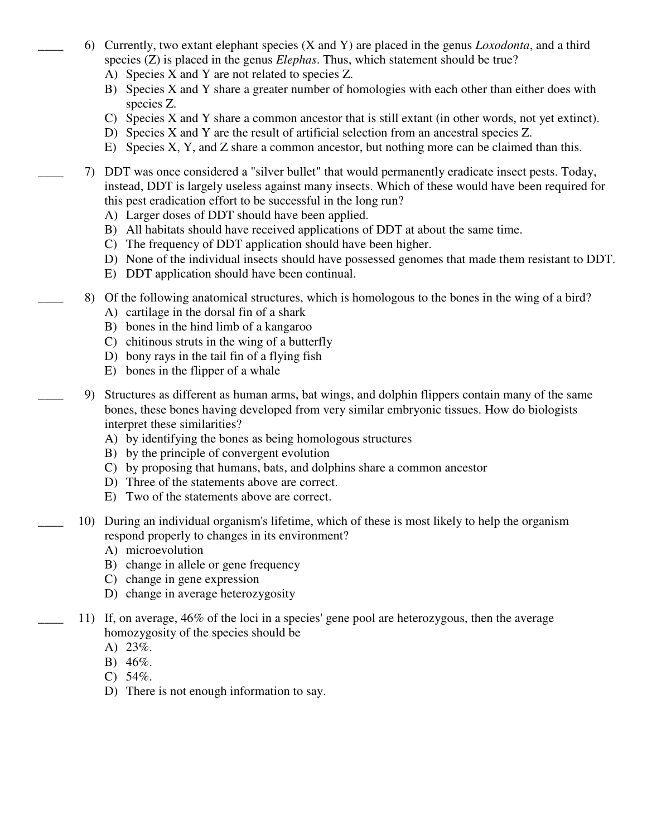- \_\_\_\_ 6) Currently, two extant elephant species (X and Y) are placed in the genus *Loxodonta*, and a third species (Z) is placed in the genus *Elephas*. Thus, which statement should be true?
	- A) Species X and Y are not related to species Z.
	- B) Species X and Y share a greater number of homologies with each other than either does with species Z.
	- C) Species X and Y share a common ancestor that is still extant (in other words, not yet extinct).
	- D) Species X and Y are the result of artificial selection from an ancestral species Z.
	- E) Species X, Y, and Z share a common ancestor, but nothing more can be claimed than this.
- \_\_\_\_ 7) DDT was once considered a "silver bullet" that would permanently eradicate insect pests. Today, instead, DDT is largely useless against many insects. Which of these would have been required for this pest eradication effort to be successful in the long run?
	- A) Larger doses of DDT should have been applied.
	- B) All habitats should have received applications of DDT at about the same time.
	- C) The frequency of DDT application should have been higher.
	- D) None of the individual insects should have possessed genomes that made them resistant to DDT.
	- E) DDT application should have been continual.
- \_\_\_\_ 8) Of the following anatomical structures, which is homologous to the bones in the wing of a bird?
	- A) cartilage in the dorsal fin of a shark
	- B) bones in the hind limb of a kangaroo
	- C) chitinous struts in the wing of a butterfly
	- D) bony rays in the tail fin of a flying fish
	- E) bones in the flipper of a whale
- \_\_\_\_ 9) Structures as different as human arms, bat wings, and dolphin flippers contain many of the same bones, these bones having developed from very similar embryonic tissues. How do biologists interpret these similarities?
	- A) by identifying the bones as being homologous structures
	- B) by the principle of convergent evolution
	- C) by proposing that humans, bats, and dolphins share a common ancestor
	- D) Three of the statements above are correct.
	- E) Two of the statements above are correct.
- \_\_\_\_ 10) During an individual organism's lifetime, which of these is most likely to help the organism respond properly to changes in its environment?
	- A) microevolution
	- B) change in allele or gene frequency
	- C) change in gene expression
	- D) change in average heterozygosity
- \_\_\_\_ 11) If, on average, 46% of the loci in a species' gene pool are heterozygous, then the average homozygosity of the species should be
	- A) 23%.
	- B) 46%.
	- C)  $54\%$ .
	- D) There is not enough information to say.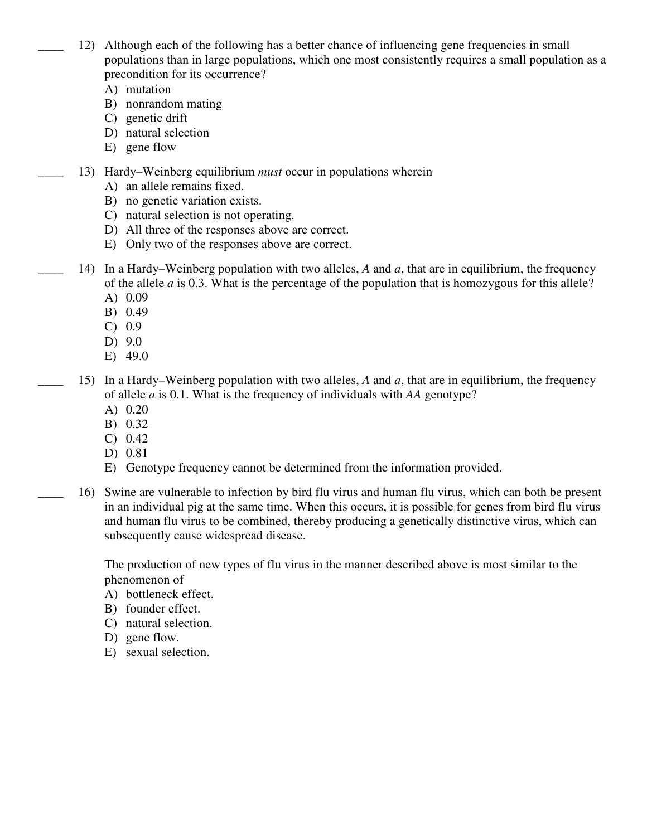- 12) Although each of the following has a better chance of influencing gene frequencies in small populations than in large populations, which one most consistently requires a small population as a precondition for its occurrence?
	- A) mutation
	- B) nonrandom mating
	- C) genetic drift
	- D) natural selection
	- E) gene flow
- \_\_\_\_ 13) Hardy–Weinberg equilibrium *must* occur in populations wherein
	- A) an allele remains fixed.
	- B) no genetic variation exists.
	- C) natural selection is not operating.
	- D) All three of the responses above are correct.
	- E) Only two of the responses above are correct.
- 14) In a Hardy–Weinberg population with two alleles, *A* and *a*, that are in equilibrium, the frequency of the allele *a* is 0.3. What is the percentage of the population that is homozygous for this allele?
	- A) 0.09
	- B) 0.49
	- C) 0.9
	- D) 9.0
	- E) 49.0
	- \_\_\_\_ 15) In a Hardy–Weinberg population with two alleles, *A* and *a*, that are in equilibrium, the frequency of allele *a* is 0.1. What is the frequency of individuals with *AA* genotype?
		- A) 0.20
		- B) 0.32
		- C) 0.42
		- D) 0.81
		- E) Genotype frequency cannot be determined from the information provided.
	- \_\_\_\_ 16) Swine are vulnerable to infection by bird flu virus and human flu virus, which can both be present in an individual pig at the same time. When this occurs, it is possible for genes from bird flu virus and human flu virus to be combined, thereby producing a genetically distinctive virus, which can subsequently cause widespread disease.

The production of new types of flu virus in the manner described above is most similar to the phenomenon of

- A) bottleneck effect.
- B) founder effect.
- C) natural selection.
- D) gene flow.
- E) sexual selection.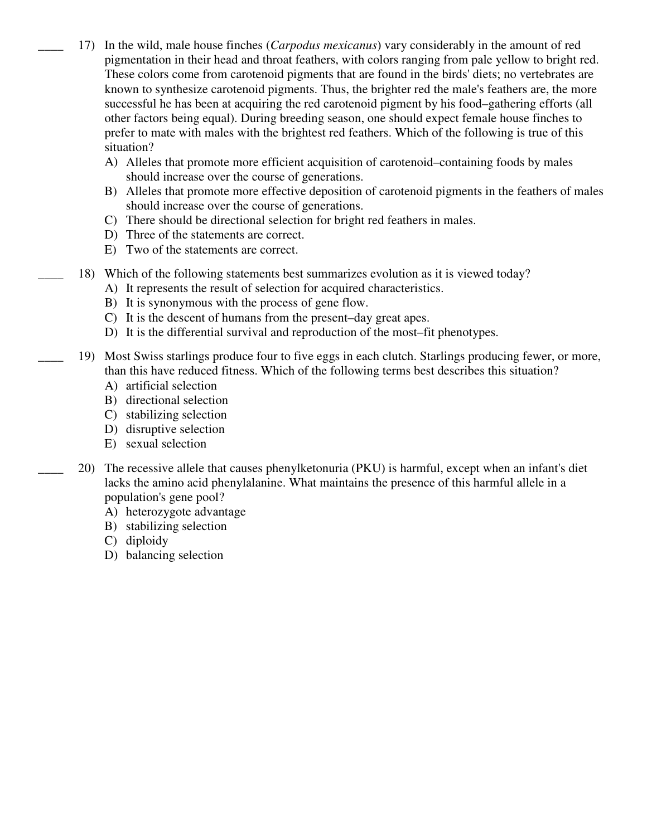- \_\_\_\_ 17) In the wild, male house finches (*Carpodus mexicanus*) vary considerably in the amount of red pigmentation in their head and throat feathers, with colors ranging from pale yellow to bright red. These colors come from carotenoid pigments that are found in the birds' diets; no vertebrates are known to synthesize carotenoid pigments. Thus, the brighter red the male's feathers are, the more successful he has been at acquiring the red carotenoid pigment by his food–gathering efforts (all other factors being equal). During breeding season, one should expect female house finches to prefer to mate with males with the brightest red feathers. Which of the following is true of this situation?
	- A) Alleles that promote more efficient acquisition of carotenoid–containing foods by males should increase over the course of generations.
	- B) Alleles that promote more effective deposition of carotenoid pigments in the feathers of males should increase over the course of generations.
	- C) There should be directional selection for bright red feathers in males.
	- D) Three of the statements are correct.
	- E) Two of the statements are correct.
- \_\_\_\_ 18) Which of the following statements best summarizes evolution as it is viewed today?
	- A) It represents the result of selection for acquired characteristics.
	- B) It is synonymous with the process of gene flow.
	- C) It is the descent of humans from the present–day great apes.
	- D) It is the differential survival and reproduction of the most–fit phenotypes.
- \_\_\_\_ 19) Most Swiss starlings produce four to five eggs in each clutch. Starlings producing fewer, or more, than this have reduced fitness. Which of the following terms best describes this situation?
	- A) artificial selection
	- B) directional selection
	- C) stabilizing selection
	- D) disruptive selection
	- E) sexual selection
	- \_\_\_\_ 20) The recessive allele that causes phenylketonuria (PKU) is harmful, except when an infant's diet lacks the amino acid phenylalanine. What maintains the presence of this harmful allele in a population's gene pool?
		- A) heterozygote advantage
		- B) stabilizing selection
		- C) diploidy
		- D) balancing selection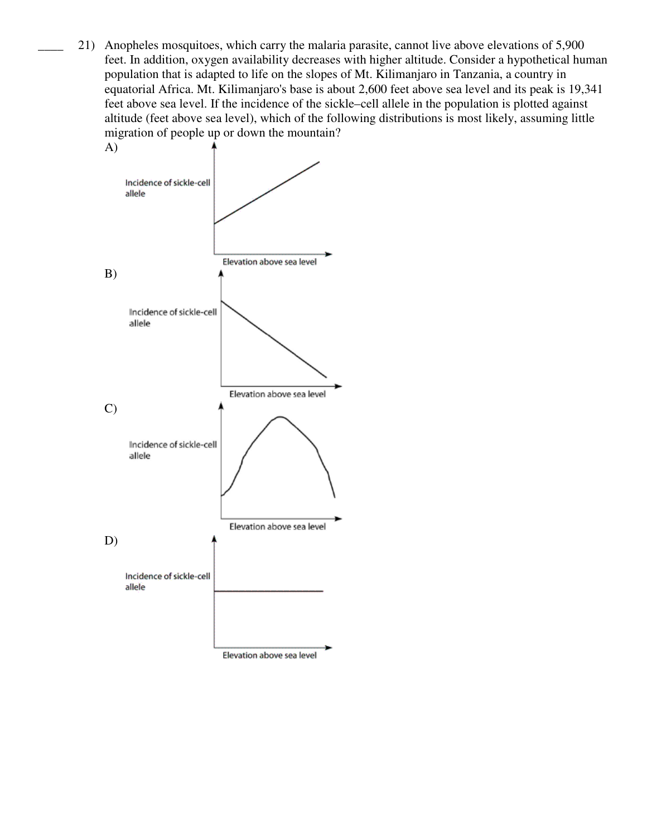21) Anopheles mosquitoes, which carry the malaria parasite, cannot live above elevations of 5,900 feet. In addition, oxygen availability decreases with higher altitude. Consider a hypothetical human population that is adapted to life on the slopes of Mt. Kilimanjaro in Tanzania, a country in equatorial Africa. Mt. Kilimanjaro's base is about 2,600 feet above sea level and its peak is 19,341 feet above sea level. If the incidence of the sickle–cell allele in the population is plotted against altitude (feet above sea level), which of the following distributions is most likely, assuming little migration of people up or down the mountain?

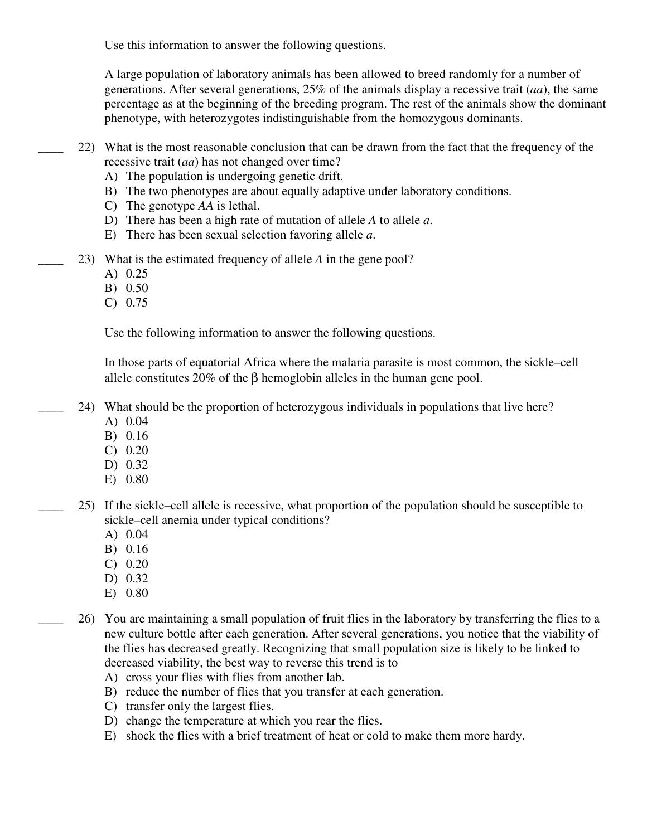Use this information to answer the following questions.

A large population of laboratory animals has been allowed to breed randomly for a number of generations. After several generations, 25% of the animals display a recessive trait (*aa*), the same percentage as at the beginning of the breeding program. The rest of the animals show the dominant phenotype, with heterozygotes indistinguishable from the homozygous dominants.

- \_\_\_\_ 22) What is the most reasonable conclusion that can be drawn from the fact that the frequency of the recessive trait (*aa*) has not changed over time?
	- A) The population is undergoing genetic drift.
	- B) The two phenotypes are about equally adaptive under laboratory conditions.
	- C) The genotype *AA* is lethal.
	- D) There has been a high rate of mutation of allele *A* to allele *a*.
	- E) There has been sexual selection favoring allele *a*.
- \_\_\_\_ 23) What is the estimated frequency of allele *A* in the gene pool?
	- A) 0.25
	- B) 0.50
	- C) 0.75

Use the following information to answer the following questions.

In those parts of equatorial Africa where the malaria parasite is most common, the sickle–cell allele constitutes 20% of the  $\beta$  hemoglobin alleles in the human gene pool.

- \_\_\_\_ 24) What should be the proportion of heterozygous individuals in populations that live here?
	- A) 0.04
	- B) 0.16
	- C) 0.20
	- D) 0.32
	- E) 0.80
- 25) If the sickle–cell allele is recessive, what proportion of the population should be susceptible to sickle–cell anemia under typical conditions?
	- A) 0.04
	- B) 0.16
	- C) 0.20
	- D) 0.32
	- E) 0.80
- 26) You are maintaining a small population of fruit flies in the laboratory by transferring the flies to a new culture bottle after each generation. After several generations, you notice that the viability of the flies has decreased greatly. Recognizing that small population size is likely to be linked to decreased viability, the best way to reverse this trend is to
	- A) cross your flies with flies from another lab.
	- B) reduce the number of flies that you transfer at each generation.
	- C) transfer only the largest flies.
	- D) change the temperature at which you rear the flies.
	- E) shock the flies with a brief treatment of heat or cold to make them more hardy.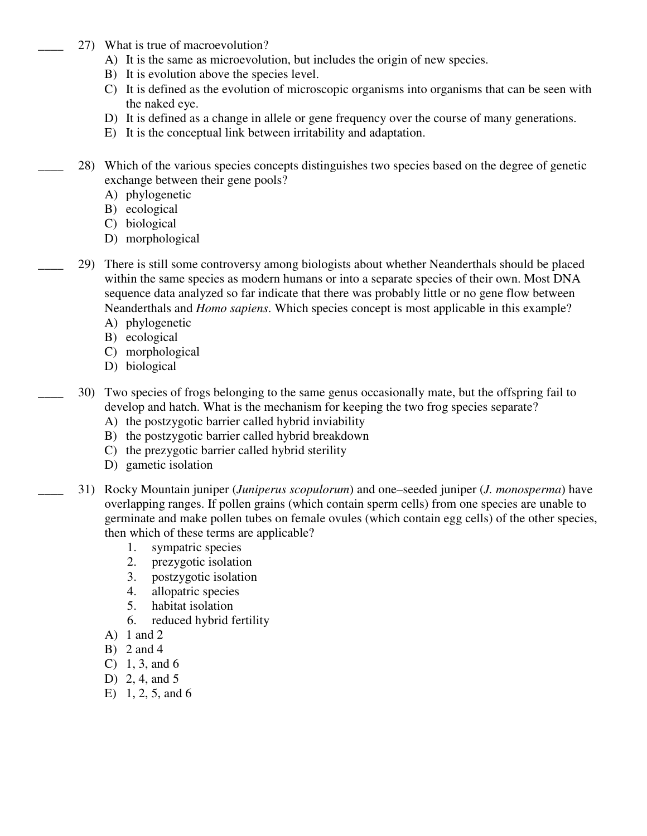- 27) What is true of macroevolution?
	- A) It is the same as microevolution, but includes the origin of new species.
	- B) It is evolution above the species level.
	- C) It is defined as the evolution of microscopic organisms into organisms that can be seen with the naked eye.
	- D) It is defined as a change in allele or gene frequency over the course of many generations.
	- E) It is the conceptual link between irritability and adaptation.
- \_\_\_\_ 28) Which of the various species concepts distinguishes two species based on the degree of genetic exchange between their gene pools?
	- A) phylogenetic
	- B) ecological
	- C) biological
	- D) morphological
- \_\_\_\_ 29) There is still some controversy among biologists about whether Neanderthals should be placed within the same species as modern humans or into a separate species of their own. Most DNA sequence data analyzed so far indicate that there was probably little or no gene flow between Neanderthals and *Homo sapiens*. Which species concept is most applicable in this example?
	- A) phylogenetic
	- B) ecological
	- C) morphological
	- D) biological
	- \_\_\_\_ 30) Two species of frogs belonging to the same genus occasionally mate, but the offspring fail to develop and hatch. What is the mechanism for keeping the two frog species separate?
		- A) the postzygotic barrier called hybrid inviability
		- B) the postzygotic barrier called hybrid breakdown
		- C) the prezygotic barrier called hybrid sterility
		- D) gametic isolation
- \_\_\_\_ 31) Rocky Mountain juniper (*Juniperus scopulorum*) and one–seeded juniper (*J. monosperma*) have overlapping ranges. If pollen grains (which contain sperm cells) from one species are unable to germinate and make pollen tubes on female ovules (which contain egg cells) of the other species, then which of these terms are applicable?
	- 1. sympatric species
	- 2. prezygotic isolation
	- 3. postzygotic isolation
	- 4. allopatric species
	- 5. habitat isolation
	- 6. reduced hybrid fertility
	- A) 1 and 2
	- B) 2 and 4
	- C) 1, 3, and 6
	- D) 2, 4, and 5
	- E) 1, 2, 5, and 6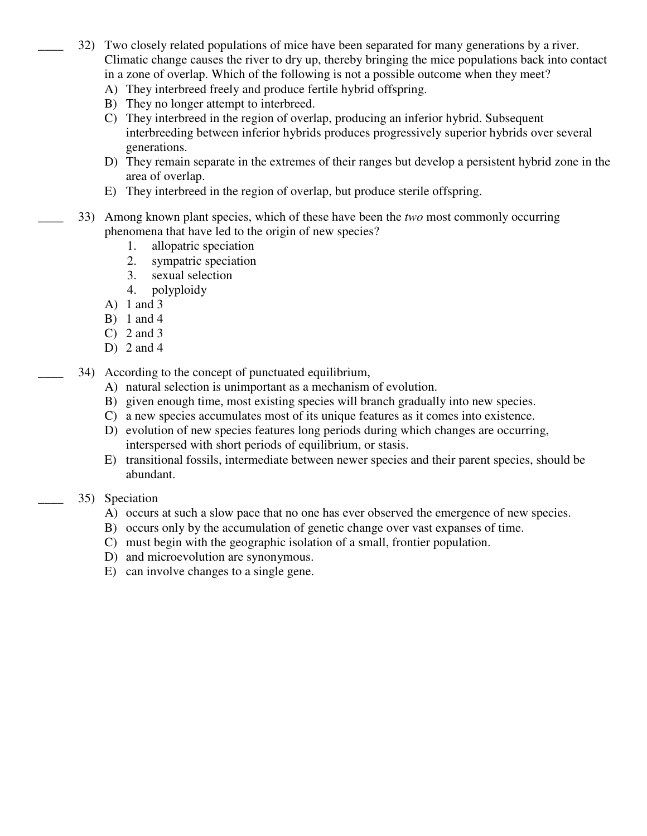- \_\_\_\_ 32) Two closely related populations of mice have been separated for many generations by a river. Climatic change causes the river to dry up, thereby bringing the mice populations back into contact in a zone of overlap. Which of the following is not a possible outcome when they meet?
	- A) They interbreed freely and produce fertile hybrid offspring.
	- B) They no longer attempt to interbreed.
	- C) They interbreed in the region of overlap, producing an inferior hybrid. Subsequent interbreeding between inferior hybrids produces progressively superior hybrids over several generations.
	- D) They remain separate in the extremes of their ranges but develop a persistent hybrid zone in the area of overlap.
	- E) They interbreed in the region of overlap, but produce sterile offspring.
- \_\_\_\_ 33) Among known plant species, which of these have been the *two* most commonly occurring phenomena that have led to the origin of new species?
	- 1. allopatric speciation
	- 2. sympatric speciation
	- 3. sexual selection
	- 4. polyploidy
	- A) 1 and 3
	- B) 1 and 4
	- C) 2 and 3
	- D) 2 and 4
- 34) According to the concept of punctuated equilibrium,
	- A) natural selection is unimportant as a mechanism of evolution.
	- B) given enough time, most existing species will branch gradually into new species.
	- C) a new species accumulates most of its unique features as it comes into existence.
	- D) evolution of new species features long periods during which changes are occurring, interspersed with short periods of equilibrium, or stasis.
	- E) transitional fossils, intermediate between newer species and their parent species, should be abundant.
- 35) Speciation
	- A) occurs at such a slow pace that no one has ever observed the emergence of new species.
	- B) occurs only by the accumulation of genetic change over vast expanses of time.
	- C) must begin with the geographic isolation of a small, frontier population.
	- D) and microevolution are synonymous.
	- E) can involve changes to a single gene.